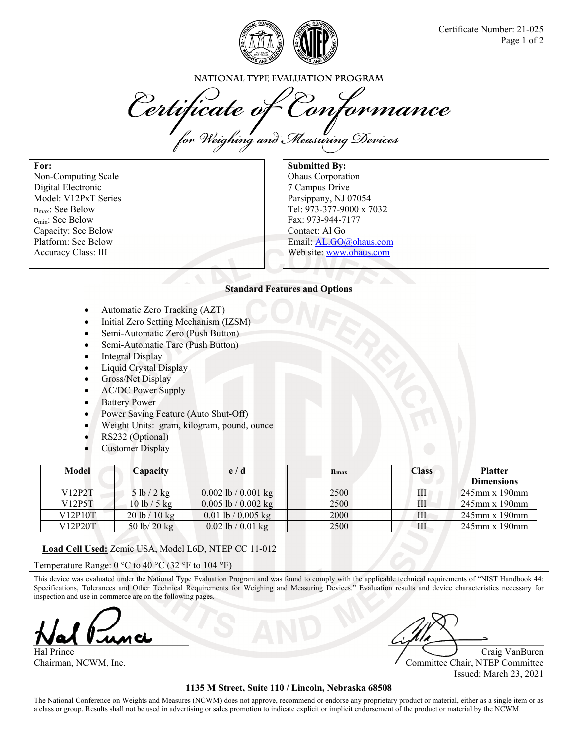

NATIONAL TYPE EVALUATION PROGRAM

Certificate of Conformance

**For:**  Non-Computing Scale Digital Electronic Model: V12PxT Series nmax: See Below emin: See Below Capacity: See Below Platform: See Below Accuracy Class: III

**Submitted By:**  Ohaus Corporation 7 Campus Drive Parsippany, NJ 07054 Tel: 973-377-9000 x 7032 Fax: 973-944-7177 Contact: Al Go Email: AL.GO@ohaus.com Web site: www.ohaus.com

## **Standard Features and Options**

- Automatic Zero Tracking (AZT)
- Initial Zero Setting Mechanism (IZSM)
- Semi-Automatic Zero (Push Button)
- Semi-Automatic Tare (Push Button)
- Integral Display
- Liquid Crystal Display
- Gross/Net Display
- AC/DC Power Supply
- Battery Power
- Power Saving Feature (Auto Shut-Off)
- Weight Units: gram, kilogram, pound, ounce
- RS232 (Optional)
- Customer Display

| Model   | Capacity               | e/d                     | $n_{\rm max}$ | <b>Class</b> | <b>Platter</b><br><b>Dimensions</b> |
|---------|------------------------|-------------------------|---------------|--------------|-------------------------------------|
| V12P2T  | 5 lb / 2 kg            | 0.002 lb / 0.001 kg     | 2500          | Ш            | $245$ mm x 190mm                    |
| V12P5T  | 10 lb / 5 kg           | $0.005$ lb / $0.002$ kg | 2500          | Ш            | $245$ mm x 190mm                    |
| V12P10T | 20 lb/10 kg            | $0.01$ lb / $0.005$ kg  | 2000          | Ш            | $245$ mm x 190mm                    |
| V12P20T | 50 lb/ $20 \text{ kg}$ | $0.02$ lb / $0.01$ kg   | 2500          | Ш            | $245$ mm x 190mm                    |

**Load Cell Used:** Zemic USA, Model L6D, NTEP CC 11-012

Temperature Range:  $0^{\circ}$ C to 40 °C (32 °F to 104 °F)

This device was evaluated under the National Type Evaluation Program and was found to comply with the applicable technical requirements of "NIST Handbook 44: Specifications, Tolerances and Other Technical Requirements for Weighing and Measuring Devices." Evaluation results and device characteristics necessary for inspection and use in commerce are on the following pages.

Hal Prince Craig VanBuren Craig VanBuren Craig VanBuren Craig VanBuren Craig VanBuren Craig VanBuren Craig Van

Chairman, NCWM, Inc. Committee Chair, NTEP Committee Issued: March 23, 2021

## **1135 M Street, Suite 110 / Lincoln, Nebraska 68508**

The National Conference on Weights and Measures (NCWM) does not approve, recommend or endorse any proprietary product or material, either as a single item or as a class or group. Results shall not be used in advertising or sales promotion to indicate explicit or implicit endorsement of the product or material by the NCWM.